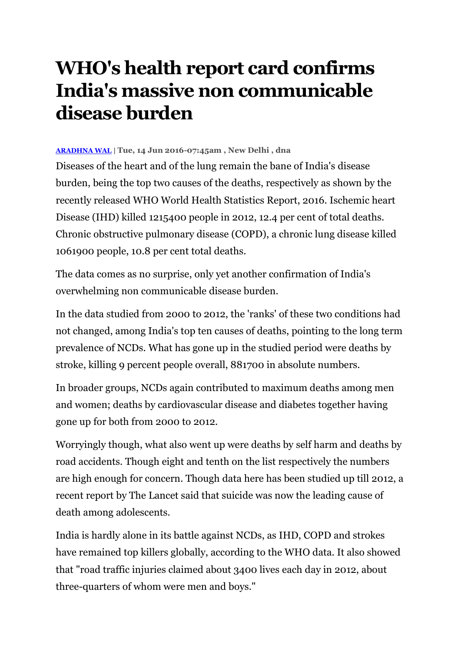## **WHO's health report card confirms India's massive non communicable disease burden**

## **[ARADHNA WAL](http://www.dnaindia.com/authors/aradhna-wal)** | **Tue, 14 Jun 2016-07:45am , New Delhi , dna**

Diseases of the heart and of the lung remain the bane of India's disease burden, being the top two causes of the deaths, respectively as shown by the recently released WHO World Health Statistics Report, 2016. Ischemic heart Disease (IHD) killed 1215400 people in 2012, 12.4 per cent of total deaths. Chronic obstructive pulmonary disease (COPD), a chronic lung disease killed 1061900 people, 10.8 per cent total deaths.

The data comes as no surprise, only yet another confirmation of India's overwhelming non communicable disease burden.

In the data studied from 2000 to 2012, the 'ranks' of these two conditions had not changed, among India's top ten causes of deaths, pointing to the long term prevalence of NCDs. What has gone up in the studied period were deaths by stroke, killing 9 percent people overall, 881700 in absolute numbers.

In broader groups, NCDs again contributed to maximum deaths among men and women; deaths by cardiovascular disease and diabetes together having gone up for both from 2000 to 2012.

Worryingly though, what also went up were deaths by self harm and deaths by road accidents. Though eight and tenth on the list respectively the numbers are high enough for concern. Though data here has been studied up till 2012, a recent report by The Lancet said that suicide was now the leading cause of death among adolescents.

India is hardly alone in its battle against NCDs, as IHD, COPD and strokes have remained top killers globally, according to the WHO data. It also showed that "road traffic injuries claimed about 3400 lives each day in 2012, about three-quarters of whom were men and boys."